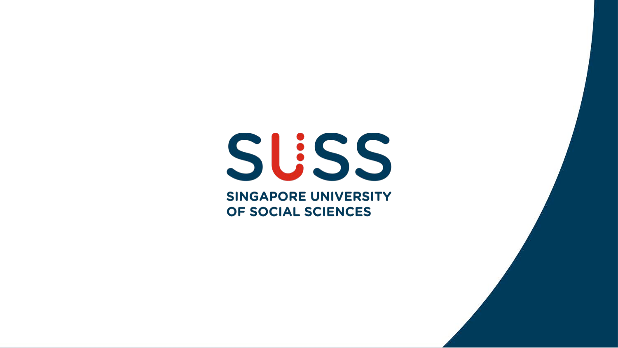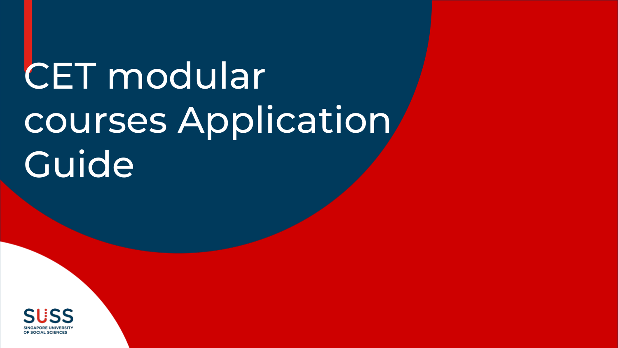# CET modular courses Application Guide

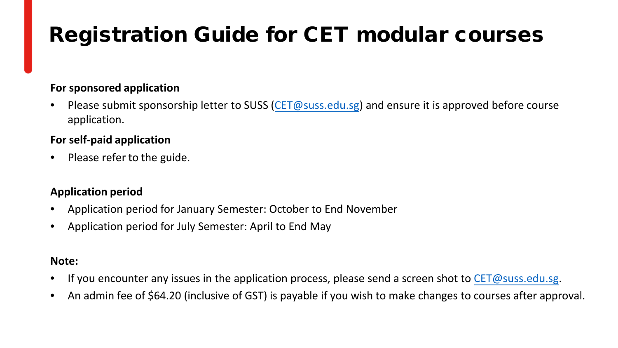## Registration Guide for CET modular courses

### **For sponsored application**

• Please submit sponsorship letter to SUSS ([CET@suss.edu.sg\)](mailto:CET@suss.edu.sg) and ensure it is approved before course application.

### **For self-paid application**

• Please refer to the guide.

### **Application period**

- Application period for January Semester: October to End November
- Application period for July Semester: April to End May

### **Note:**

- If you encounter any issues in the application process, please send a screen shot to  $CFT@suss.edu.sg.$
- An admin fee of \$64.20 (inclusive of GST) is payable if you wish to make changes to courses after approval.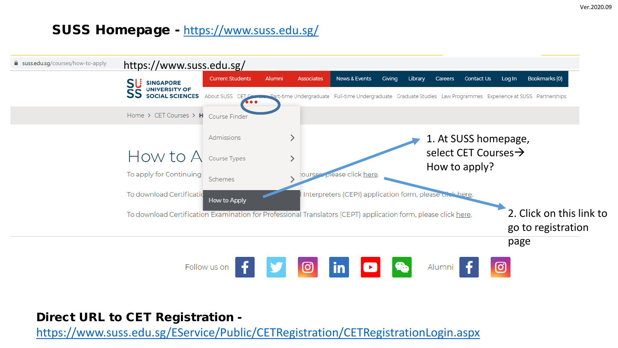### SUSS Homepage - <https://www.suss.edu.sg/>



### Direct URL to CET Registration -

<https://www.suss.edu.sg/EService/Public/CETRegistration/CETRegistrationLogin.aspx>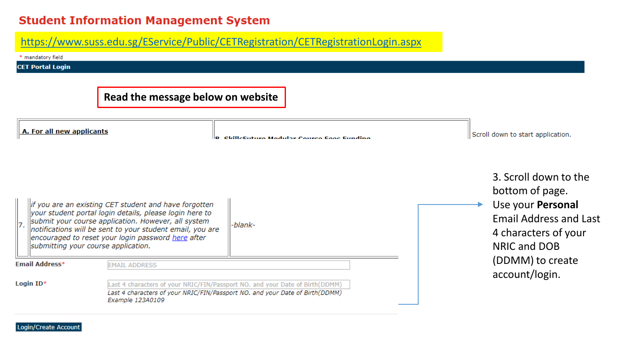### **Student Information Management System**

<https://www.suss.edu.sg/EService/Public/CETRegistration/CETRegistrationLogin.aspx>

mandatory field **CET Portal Login** 

**Read the message below on website**

A. For all new applicants

D. ChilleEuturo Modular Courso Eoos Eunding

Scroll down to start application.

if you are an existing CET student and have forgotten vour student portal login details, please login here to submit your course application. However, all system -blanknotifications will be sent to your student email, you are encouraged to reset your login password here after submitting your course application. **Email Address\* EMAIL ADDRESS** Login  $ID*$ Last 4 characters of your NRIC/FIN/Passport NO, and your Date of Birth(DDMM) Last 4 characters of your NRIC/FIN/Passport NO. and your Date of Birth(DDMM) Example 123A0109

3. Scroll down to the bottom of page. Use your **Personal** Email Address and Last 4 characters of your NRIC and DOB (DDMM) to create account/login.

**Login/Create Account**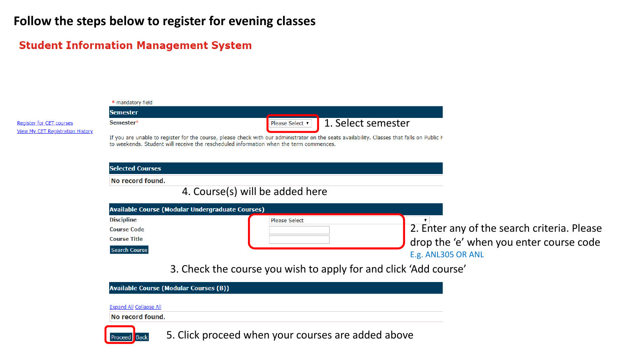### **Follow the steps below to register for evening classes**

### **Student Information Management System**



3. Check the course you wish to apply for and click 'Add course'

| <b>Available Course (Modular Courses (B))</b> |  |
|-----------------------------------------------|--|
| Expand All Collapse All                       |  |
| No record found.                              |  |



5. Click proceed when your courses are added above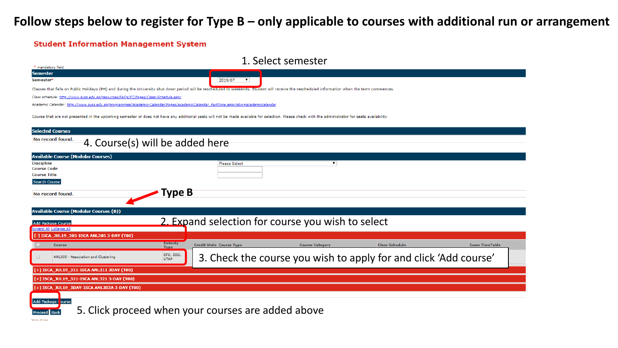### **Follow steps below to register for Type B – only applicable to courses with additional run or arrangement**

#### **Student Information Management System**

### 1. Select semester

| * mandatory field                                                                                                                                                                                  |                                 |                                                                  |                       |                       |  |
|----------------------------------------------------------------------------------------------------------------------------------------------------------------------------------------------------|---------------------------------|------------------------------------------------------------------|-----------------------|-----------------------|--|
| <b>Semester</b>                                                                                                                                                                                    |                                 |                                                                  |                       |                       |  |
| Semester*                                                                                                                                                                                          | 2019/07                         |                                                                  |                       |                       |  |
| Classes that falls on Public Holidays (PH) and during the University shut down period will be rescheduled to weekends. Student will receive the rescheduled information when the term commences.   |                                 |                                                                  |                       |                       |  |
| Class schedule: http://www.suss.edu.sg/resources/FAQs/PT/Pages/Class-Schedule.aspx                                                                                                                 |                                 |                                                                  |                       |                       |  |
| Academic Calendar: http://www.suss.edu.sg/programmes/Academic-Calendar/Pages/AcademicCalendar PartTime.aspx?skw=academiccalendar                                                                   |                                 |                                                                  |                       |                       |  |
| Course that are not presented in the upcoming semester or does not have any additional seats will not be made available for selection. Please check with the administrator for seats availability. |                                 |                                                                  |                       |                       |  |
| <b>Selected Courses</b>                                                                                                                                                                            |                                 |                                                                  |                       |                       |  |
| No record found.<br>4. Course(s) will be added here                                                                                                                                                |                                 |                                                                  |                       |                       |  |
| <b>Available Course (Modular Courses)</b>                                                                                                                                                          |                                 |                                                                  |                       |                       |  |
| <b>Discipline</b>                                                                                                                                                                                  | <b>Please Select</b>            |                                                                  |                       |                       |  |
| <b>Course Code</b>                                                                                                                                                                                 |                                 |                                                                  |                       |                       |  |
| <b>Course Title</b>                                                                                                                                                                                |                                 |                                                                  |                       |                       |  |
| <b>Search Course</b>                                                                                                                                                                               |                                 |                                                                  |                       |                       |  |
| Type B<br>No record found.                                                                                                                                                                         |                                 |                                                                  |                       |                       |  |
|                                                                                                                                                                                                    |                                 |                                                                  |                       |                       |  |
| <b>Available Course (Modular Courses (B))</b>                                                                                                                                                      |                                 |                                                                  |                       |                       |  |
|                                                                                                                                                                                                    |                                 | 2. Expand selection for course you wish to select                |                       |                       |  |
| <b>Add Package Course</b><br><b>Expand All Collapse All</b>                                                                                                                                        |                                 |                                                                  |                       |                       |  |
| [-] ISCA_JUL19_305-ISCA ANL305 3-DAY (T00)                                                                                                                                                         |                                 |                                                                  |                       |                       |  |
| <b>Subsidy</b><br><b>Course</b><br><b>Type</b>                                                                                                                                                     | <b>Credit Units Course Type</b> | <b>Course Category</b>                                           | <b>Class Schedule</b> | <b>Exam TimeTable</b> |  |
| SFC, SSG,<br>ANL305 - Association and Clustering<br>0<br><b>UTAP</b>                                                                                                                               |                                 | 3. Check the course you wish to apply for and click 'Add course' |                       |                       |  |
| [+] ISCA JUL19 311-ISCA ANL311 3DAY (T00)                                                                                                                                                          |                                 |                                                                  |                       |                       |  |
| [+] ISCA_JUL19_321-ISCA ANL321 3-DAY (T00)                                                                                                                                                         |                                 |                                                                  |                       |                       |  |

[+] ISCA\_JUL19\_3DAY-ISCA ANL303A 3-DAY (T00)

Add Package Course **Proceed** Back

5. Click proceed when your courses are added above

Terms Of Use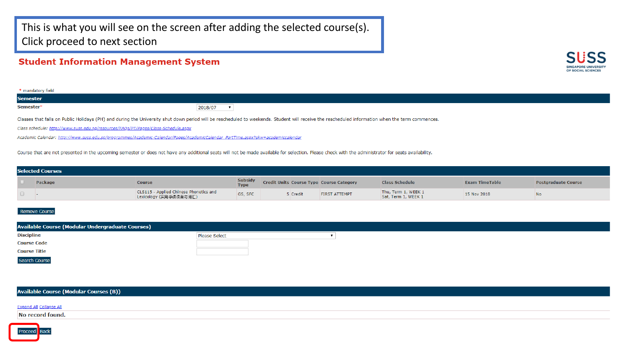### This is what you will see on the screen after adding the selected course(s). Click proceed to next section

### **Student Information Management System**



| * mandatory field |         |
|-------------------|---------|
| <b>Semester</b>   |         |
| Semester*         | 2018/07 |

Classes that falls on Public Holidays (PH) and during the University shut down period will be rescheduled to weekends. Student will receive the rescheduled information when the term commences.

Class schedule: http://www.suss.edu.sg/resources/FAQs/PT/Pages/Class-Schedule.aspx

Academic Calendar: http://www.suss.edu.sg/programmes/Academic-Calendar/Pages/AcademicCalendar PartTime.aspx?skw=academiccalendar

Course that are not presented in the upcoming semester or does not have any additional seats will not be made available for selection. Please check with the administrator for seats availability.

| <b>Selected Courses</b> |                                                                  |                        |          |                                                 |                                            |                       |                            |
|-------------------------|------------------------------------------------------------------|------------------------|----------|-------------------------------------------------|--------------------------------------------|-----------------------|----------------------------|
| Package                 | Course                                                           | Subsidy<br><b>Type</b> |          | <b>Credit Units Course Type Course Category</b> | <b>Class Schedule</b>                      | <b>Exam TimeTable</b> | <b>Postgraduate Course</b> |
|                         | CLS115 - Applied Chinese Phonetics and<br>Lexicology (实用华语语音与词汇) | GS, SFC                | 5 Credit | <b>FIRST ATTEMPT</b>                            | Thu, Term 1, WEEK 1<br>Sat, Term 1, WEEK 1 | 15 Nov 2018           | No                         |

#### **Remove Course**

| <b>Available Course (Modular Undergraduate Courses)</b> |                      |  |  |  |
|---------------------------------------------------------|----------------------|--|--|--|
| <b>Discipline</b>                                       | <b>Please Select</b> |  |  |  |
| <b>Course Code</b>                                      |                      |  |  |  |
| <b>Course Title</b>                                     |                      |  |  |  |
| Search Course                                           |                      |  |  |  |

#### **Available Course (Modular Courses (B))**

#### **Expand All Collapse All**

No record found.

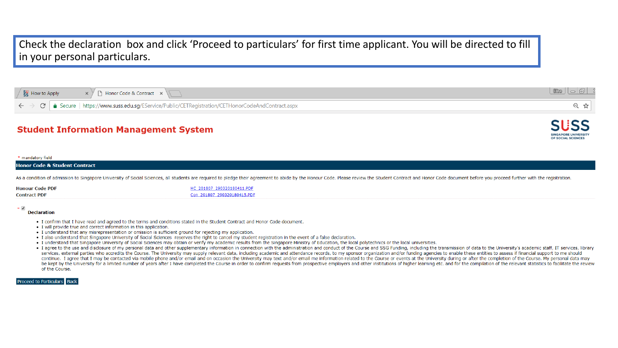### Check the declaration box and click 'Proceed to particulars' for first time applicant. You will be directed to fill in your personal particulars.

| $\frac{1}{2}$ SU How to Apply | ★ ※ <sup>y</sup> B Honor Code & Contract <b>×</b> \                                                                                                 |  |
|-------------------------------|-----------------------------------------------------------------------------------------------------------------------------------------------------|--|
|                               | $\epsilon \leftarrow \epsilon \rightarrow \epsilon$ a Secure   https://www.suss.edu.sg/EService/Public/CETRegistration/CETHonorCodeAndContract.aspx |  |

#### **Student Information Management System**

#### \* mandatory field

#### **Honor Code & Student Contract**

As a condition of admission to Singapore University of Social Sciences, all students are required to pledge their agreement to abide by the Honour Code. Please review the Student Contract and Honor Code document before you

| <b>Honour Code PDF</b> | HC 201807 290320180411.PDF  |
|------------------------|-----------------------------|
| <b>Contract PDF</b>    | Con 201807 290320180415.PDF |

#### $\overline{\mathscr{A}}$

#### **Declaration**

- . I confirm that I have read and agreed to the terms and conditions stated in the Student Contract and Honor Code document.
- I will provide true and correct information in this application.
- I understand that any misrepresentation or omission is sufficient ground for rejecting my application.
- . I also understand that Singapore University of Social Sciences reserves the right to cancel my student registration in the event of a false declaration.
- . I understand that Singapore University of Social Sciences may obtain or verify my academic results from the Singapore Ministry of Education, the local polytechnics or the local universities.
- . I agree to the use and disclosure of my personal data and other supplementary information in connection with the administration and conduct of the Course and SSG Funding, including the transmission of data to the Univers services, external parties who accredits the Course. The University may supply relevant data, including academic and attendance records, to my sponsor organization and/or funding agencies to enable these entities to assess continue. I agree that I may be contacted via mobile phone and/or email and on occasion the University may text and/or email me information related to the Course or events at the University during or after the completion o be kept by the University for a limited number of years after I have completed the Course in order to confirm requests from prospective employers and other institutions of higher learning etc. and for the complation of the of the Course.





OF SOCIAL SCIENCES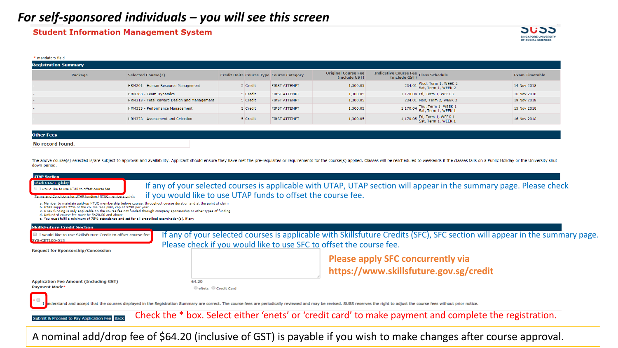### *For self-sponsored individuals – you will see this screen*

#### **Student Information Management System**



| * mandatory field           |                                             |  |          |                                                 |                                             |                                                       |                                                     |                       |
|-----------------------------|---------------------------------------------|--|----------|-------------------------------------------------|---------------------------------------------|-------------------------------------------------------|-----------------------------------------------------|-----------------------|
| <b>Registration Summary</b> |                                             |  |          |                                                 |                                             |                                                       |                                                     |                       |
| Package                     | Selected Course(s)                          |  |          | <b>Credit Units Course Type Course Category</b> | <b>Original Course Fee</b><br>(include GST) | Indicative Course Fee<br>(include GST) Class Schedule |                                                     | <b>Exam Timetable</b> |
| $\sim$                      | HRM201 - Human Resource Management          |  | 5 Credit | <b>FIRST ATTEMPT</b>                            | 1,300.05                                    |                                                       | 234.01 Wed, Term 1, WEEK 2<br>Sat, Term 1, WEEK 2   | 14 Nov 2018           |
| $\sim$                      | HRM263 - Team Dynamics                      |  | 5 Credit | <b>FIRST ATTEMPT</b>                            | 1,300.05                                    |                                                       | 1.170.04 Fri. Term 1. WEEK 2                        | 16 Nov 2018           |
|                             | HRM313 - Total Reward Design and Management |  | 5 Credit | <b>FIRST ATTEMPT</b>                            | 1,300.05                                    |                                                       | 234.01 Mon, Term 2, WEEK 2                          | 19 Nov 2018           |
| $\sim$                      | HRM333 - Performance Management             |  | 5 Credit | <b>FIRST ATTEMPT</b>                            | 1,300.05                                    |                                                       | 1,170.04 Thu, Term 1, WEEK 1<br>Sat, Term 1, WEEK 1 | 15 Nov 2018           |
|                             | HRM373 - Assessment and Selection           |  | 5 Credit | <b>FIRST ATTEMPT</b>                            | 1,300.05                                    |                                                       | 1,170.05 Fri, Term 1, WEEK 1<br>Sat, Term 1, WEEK 1 | 16 Nov 2018           |
|                             |                                             |  |          |                                                 |                                             |                                                       |                                                     |                       |

#### **Other Fees** No record found.

The above course(s) selected is/are subject to approval and availability. Applicant should ensure they have met the pre-requisites or requirements for the course(s) applied. Classes will be rescheduled to weekends if the c down period.

| <b>UTAP Section</b>                                                                                                                                                                                                                                                                                                                                                                                                                                                                                                                                                                                                        |                                                                                                                                                                                                                                |                                                                                                                             |
|----------------------------------------------------------------------------------------------------------------------------------------------------------------------------------------------------------------------------------------------------------------------------------------------------------------------------------------------------------------------------------------------------------------------------------------------------------------------------------------------------------------------------------------------------------------------------------------------------------------------------|--------------------------------------------------------------------------------------------------------------------------------------------------------------------------------------------------------------------------------|-----------------------------------------------------------------------------------------------------------------------------|
| <b>Check UTAP Eligibility</b><br>I would like to use UTAP to offset course fee<br>Ferms and Conditions for UTAP funding (NTUC members only)<br>a. Member to maintain paid-up NTUC membership before course, throughout course duration and at the point of claim<br>b. UTAP supports 75% of the course fees paid, cap at \$250 per year.<br>c. UTAP funding is only applicable on the course fee not funded through company sponsorship or other types of funding<br>d. Unfunded course fee must be S\$20.00 and above<br>e. You must fulfil a minimum of 75% attendance and sat for all prescribed examination(s), if any | if you would like to use UTAP funds to offset the course fee.                                                                                                                                                                  | If any of your selected courses is applicable with UTAP, UTAP section will appear in the summary page. Please check         |
| <b>SkillsFuture Credit Section</b><br>I would like to use SkillsFuture Credit to offset course fee<br>SYS-CET100-013                                                                                                                                                                                                                                                                                                                                                                                                                                                                                                       |                                                                                                                                                                                                                                | If any of your selected courses is applicable with Skillsfuture Credits (SFC), SFC section will appear in the summary page. |
| <b>Request for Sponsorship/Concession</b>                                                                                                                                                                                                                                                                                                                                                                                                                                                                                                                                                                                  | Please check if you would like to use SFC to offset the course fee.                                                                                                                                                            |                                                                                                                             |
|                                                                                                                                                                                                                                                                                                                                                                                                                                                                                                                                                                                                                            |                                                                                                                                                                                                                                | <b>Please apply SFC concurrently via</b>                                                                                    |
|                                                                                                                                                                                                                                                                                                                                                                                                                                                                                                                                                                                                                            |                                                                                                                                                                                                                                | https://www.skillsfuture.gov.sg/credit                                                                                      |
| <b>Application Fee Amount (Including GST)</b><br>Payment Mode*                                                                                                                                                                                                                                                                                                                                                                                                                                                                                                                                                             | 64.20<br>CeNets Credit Card                                                                                                                                                                                                    |                                                                                                                             |
|                                                                                                                                                                                                                                                                                                                                                                                                                                                                                                                                                                                                                            | inderstand and accept that the courses displayed in the Registration Summary are correct. The course fees are periodically reviewed and may be revised. SUSS reserves the right to adjust the course fees without prior notice |                                                                                                                             |
| Submit & Proceed to Pay Application Fee Back                                                                                                                                                                                                                                                                                                                                                                                                                                                                                                                                                                               |                                                                                                                                                                                                                                | Check the * box. Select either 'enets' or 'credit card' to make payment and complete the registration.                      |

A nominal add/drop fee of \$64.20 (inclusive of GST) is payable if you wish to make changes after course approval.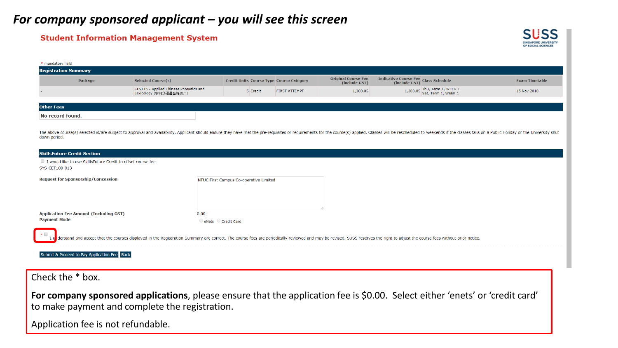### *For company sponsored applicant – you will see this screen*

#### **Student Information Management System**



**SINGAPORE UNIVERSIT** OF SOCIAL SCIENCES

The above course(s) selected is/are subject to approval and availability. Applicant should ensure they have met the pre-requisites or requirements for the course(s) applied. Classes will be rescheduled to weekends if the c

| <b>SkillsFuture Credit Section</b><br>I would like to use SkillsFuture Credit to offset course fee<br>SYS-CET100-013 |                                                                                                                                                                                                                                |
|----------------------------------------------------------------------------------------------------------------------|--------------------------------------------------------------------------------------------------------------------------------------------------------------------------------------------------------------------------------|
| <b>Request for Sponsorship/Concession</b>                                                                            | NTUC First Campus Co-operative Limited                                                                                                                                                                                         |
| <b>Application Fee Amount (Including GST)</b><br><b>Payment Mode</b>                                                 | 0.00<br>eNets Credit Card                                                                                                                                                                                                      |
| $\cdot \Box$                                                                                                         | I understand and accept that the courses displayed in the Registration Summary are correct. The course fees are periodically reviewed and may be revised. SUSS reserves the right to adjust the course fees without prior noti |
| Submit & Proceed to Pay Application Fee Back                                                                         |                                                                                                                                                                                                                                |

Check the \* box.

**For company sponsored applications**, please ensure that the application fee is \$0.00. Select either 'enets' or 'credit card' to make payment and complete the registration.

Application fee is not refundable.